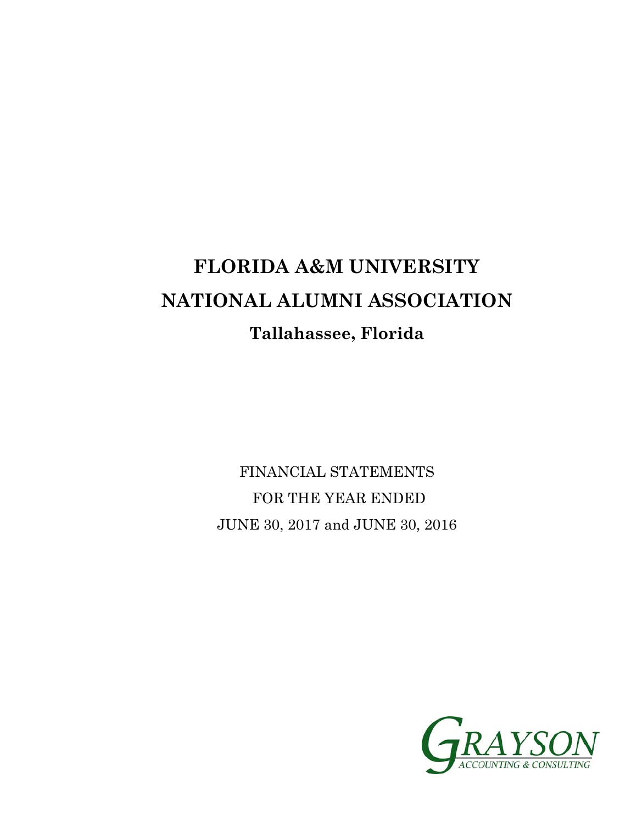# **FLORIDA A&M UNIVERSITY NATIONAL ALUMNI ASSOCIATION Tallahassee, Florida**

FINANCIAL STATEMENTS FOR THE YEAR ENDED JUNE 30, 2017 and JUNE 30, 2016

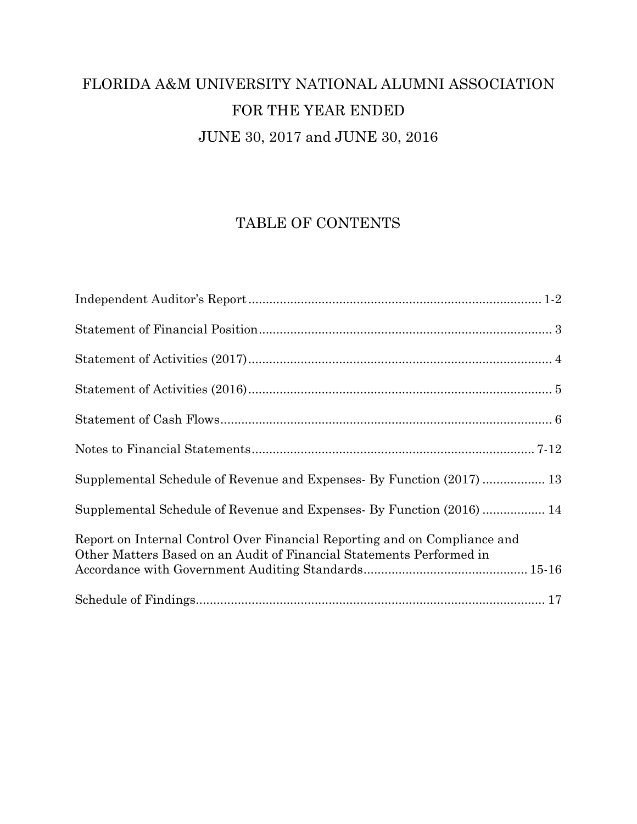# FLORIDA A&M UNIVERSITY NATIONAL ALUMNI ASSOCIATION FOR THE YEAR ENDED JUNE 30, 2017 and JUNE 30, 2016

# TABLE OF CONTENTS

| Supplemental Schedule of Revenue and Expenses- By Function (2017)  13                                                                             |
|---------------------------------------------------------------------------------------------------------------------------------------------------|
| Supplemental Schedule of Revenue and Expenses- By Function (2016)  14                                                                             |
| Report on Internal Control Over Financial Reporting and on Compliance and<br>Other Matters Based on an Audit of Financial Statements Performed in |
|                                                                                                                                                   |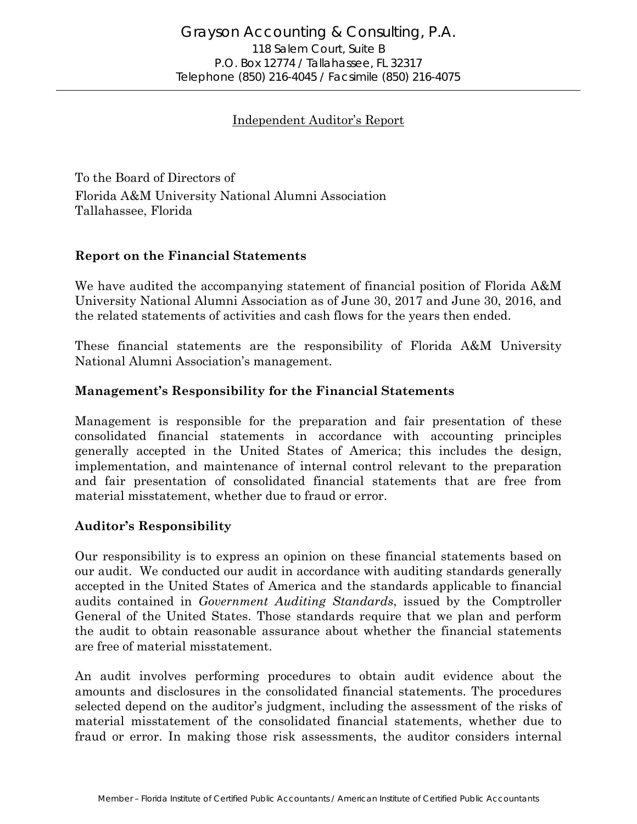#### Independent Auditor's Report

To the Board of Directors of Florida A&M University National Alumni Association Tallahassee, Florida

#### **Report on the Financial Statements**

We have audited the accompanying statement of financial position of Florida A&M University National Alumni Association as of June 30, 2017 and June 30, 2016, and the related statements of activities and cash flows for the years then ended.

These financial statements are the responsibility of Florida A&M University National Alumni Association's management.

#### **Management's Responsibility for the Financial Statements**

Management is responsible for the preparation and fair presentation of these consolidated financial statements in accordance with accounting principles generally accepted in the United States of America; this includes the design, implementation, and maintenance of internal control relevant to the preparation and fair presentation of consolidated financial statements that are free from material misstatement, whether due to fraud or error.

#### **Auditor's Responsibility**

Our responsibility is to express an opinion on these financial statements based on our audit. We conducted our audit in accordance with auditing standards generally accepted in the United States of America and the standards applicable to financial audits contained in *Government Auditing Standards*, issued by the Comptroller General of the United States. Those standards require that we plan and perform the audit to obtain reasonable assurance about whether the financial statements are free of material misstatement.

An audit involves performing procedures to obtain audit evidence about the amounts and disclosures in the consolidated financial statements. The procedures selected depend on the auditor's judgment, including the assessment of the risks of material misstatement of the consolidated financial statements, whether due to fraud or error. In making those risk assessments, the auditor considers internal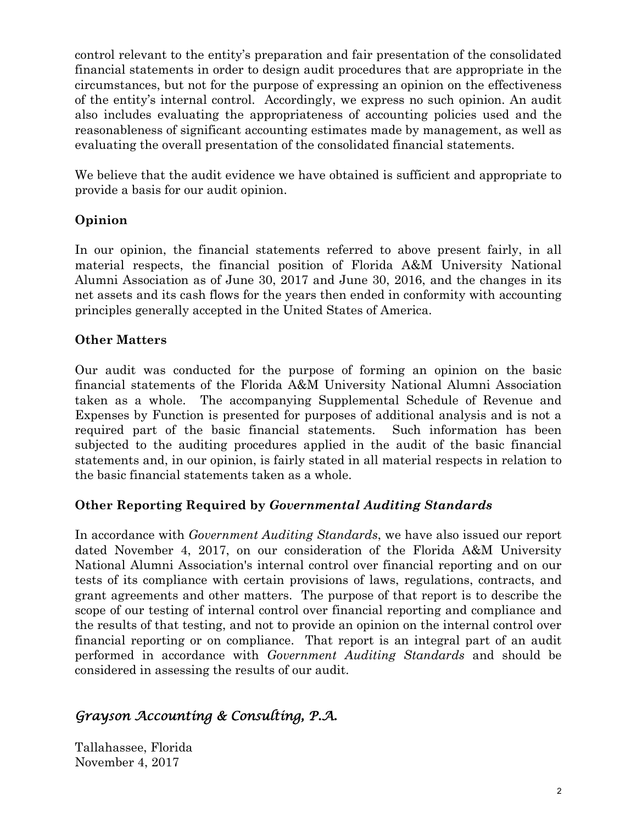control relevant to the entity's preparation and fair presentation of the consolidated financial statements in order to design audit procedures that are appropriate in the circumstances, but not for the purpose of expressing an opinion on the effectiveness of the entity's internal control. Accordingly, we express no such opinion. An audit also includes evaluating the appropriateness of accounting policies used and the reasonableness of significant accounting estimates made by management, as well as evaluating the overall presentation of the consolidated financial statements.

We believe that the audit evidence we have obtained is sufficient and appropriate to provide a basis for our audit opinion.

## **Opinion**

In our opinion, the financial statements referred to above present fairly, in all material respects, the financial position of Florida A&M University National Alumni Association as of June 30, 2017 and June 30, 2016, and the changes in its net assets and its cash flows for the years then ended in conformity with accounting principles generally accepted in the United States of America.

## **Other Matters**

Our audit was conducted for the purpose of forming an opinion on the basic financial statements of the Florida A&M University National Alumni Association taken as a whole. The accompanying Supplemental Schedule of Revenue and Expenses by Function is presented for purposes of additional analysis and is not a required part of the basic financial statements. Such information has been subjected to the auditing procedures applied in the audit of the basic financial statements and, in our opinion, is fairly stated in all material respects in relation to the basic financial statements taken as a whole.

## **Other Reporting Required by** *Governmental Auditing Standards*

In accordance with *Government Auditing Standards*, we have also issued our report dated November 4, 2017, on our consideration of the Florida A&M University National Alumni Association's internal control over financial reporting and on our tests of its compliance with certain provisions of laws, regulations, contracts, and grant agreements and other matters. The purpose of that report is to describe the scope of our testing of internal control over financial reporting and compliance and the results of that testing, and not to provide an opinion on the internal control over financial reporting or on compliance. That report is an integral part of an audit performed in accordance with *Government Auditing Standards* and should be considered in assessing the results of our audit.

# *Grayson Accounting & Consulting, P.A.*

Tallahassee, Florida November 4, 2017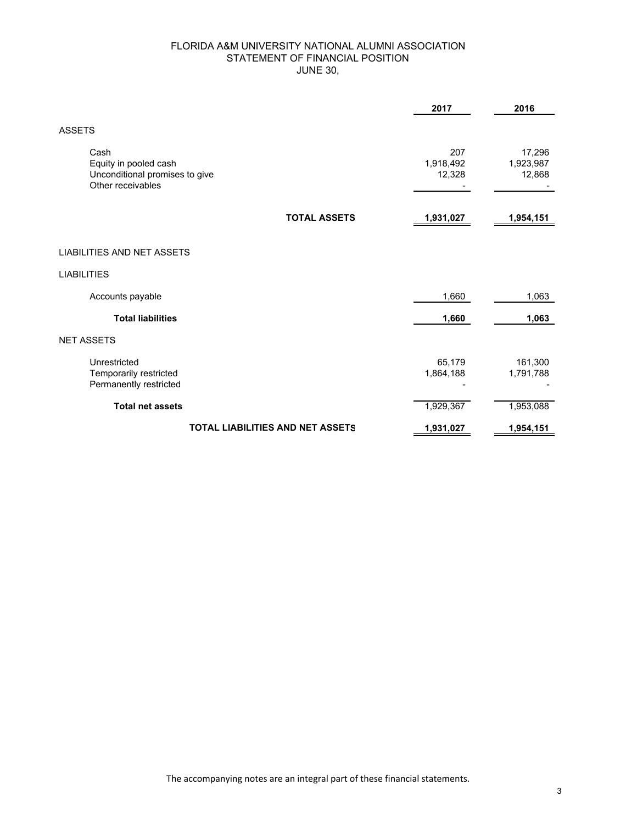#### FLORIDA A&M UNIVERSITY NATIONAL ALUMNI ASSOCIATION STATEMENT OF FINANCIAL POSITION JUNE 30,

|                                                                                      | 2017                       | 2016                          |
|--------------------------------------------------------------------------------------|----------------------------|-------------------------------|
| <b>ASSETS</b>                                                                        |                            |                               |
| Cash<br>Equity in pooled cash<br>Unconditional promises to give<br>Other receivables | 207<br>1,918,492<br>12,328 | 17,296<br>1,923,987<br>12,868 |
| <b>TOTAL ASSETS</b>                                                                  | 1,931,027                  | 1,954,151                     |
| <b>LIABILITIES AND NET ASSETS</b>                                                    |                            |                               |
| <b>LIABILITIES</b>                                                                   |                            |                               |
| Accounts payable                                                                     | 1,660                      | 1,063                         |
| <b>Total liabilities</b>                                                             | 1,660                      | 1,063                         |
| <b>NET ASSETS</b>                                                                    |                            |                               |
| Unrestricted<br>Temporarily restricted<br>Permanently restricted                     | 65,179<br>1,864,188        | 161,300<br>1,791,788          |
| <b>Total net assets</b>                                                              | 1,929,367                  | 1,953,088                     |
| <b>TOTAL LIABILITIES AND NET ASSETS</b>                                              | 1,931,027                  | 1,954,151                     |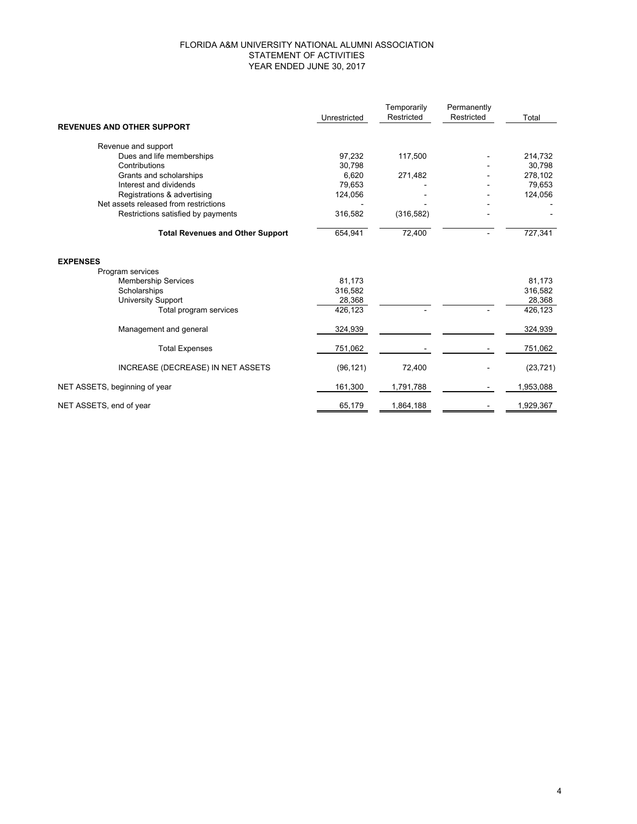#### FLORIDA A&M UNIVERSITY NATIONAL ALUMNI ASSOCIATION STATEMENT OF ACTIVITIES YEAR ENDED JUNE 30, 2017

|                                         |              | Temporarily | Permanently |           |
|-----------------------------------------|--------------|-------------|-------------|-----------|
|                                         | Unrestricted | Restricted  | Restricted  | Total     |
| <b>REVENUES AND OTHER SUPPORT</b>       |              |             |             |           |
| Revenue and support                     |              |             |             |           |
| Dues and life memberships               | 97,232       | 117,500     |             | 214,732   |
| Contributions                           | 30,798       |             |             | 30,798    |
| Grants and scholarships                 | 6,620        | 271,482     |             | 278,102   |
| Interest and dividends                  | 79,653       |             |             | 79,653    |
| Registrations & advertising             | 124,056      |             |             | 124,056   |
| Net assets released from restrictions   |              |             |             |           |
| Restrictions satisfied by payments      | 316,582      | (316, 582)  |             |           |
| <b>Total Revenues and Other Support</b> | 654,941      | 72,400      |             | 727,341   |
| <b>EXPENSES</b>                         |              |             |             |           |
| Program services                        |              |             |             |           |
| <b>Membership Services</b>              | 81,173       |             |             | 81,173    |
| Scholarships                            | 316,582      |             |             | 316,582   |
| <b>University Support</b>               | 28,368       |             |             | 28,368    |
| Total program services                  | 426,123      |             |             | 426,123   |
| Management and general                  | 324,939      |             |             | 324,939   |
| <b>Total Expenses</b>                   | 751,062      |             |             | 751,062   |
| INCREASE (DECREASE) IN NET ASSETS       | (96, 121)    | 72,400      |             | (23, 721) |
| NET ASSETS, beginning of year           | 161,300      | 1,791,788   |             | 1,953,088 |
| NET ASSETS, end of year                 | 65,179       | 1,864,188   |             | 1,929,367 |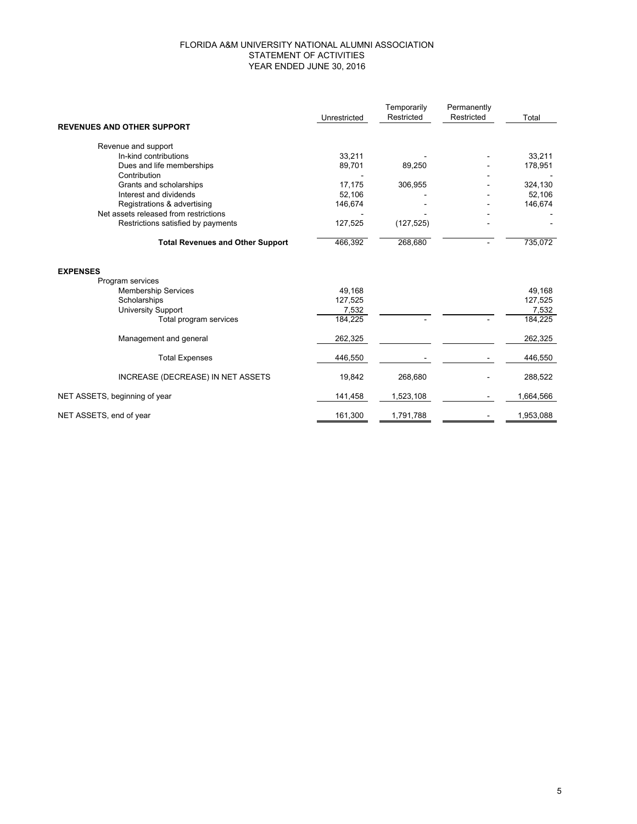#### FLORIDA A&M UNIVERSITY NATIONAL ALUMNI ASSOCIATION STATEMENT OF ACTIVITIES YEAR ENDED JUNE 30, 2016

|                                         |              | Temporarily | Permanently |           |
|-----------------------------------------|--------------|-------------|-------------|-----------|
|                                         | Unrestricted | Restricted  | Restricted  | Total     |
| <b>REVENUES AND OTHER SUPPORT</b>       |              |             |             |           |
| Revenue and support                     |              |             |             |           |
| In-kind contributions                   | 33,211       |             |             | 33,211    |
| Dues and life memberships               | 89,701       | 89,250      |             | 178,951   |
| Contribution                            |              |             |             |           |
| Grants and scholarships                 | 17,175       | 306,955     |             | 324,130   |
| Interest and dividends                  | 52,106       |             |             | 52,106    |
| Registrations & advertising             | 146,674      |             |             | 146,674   |
| Net assets released from restrictions   |              |             |             |           |
| Restrictions satisfied by payments      | 127,525      | (127, 525)  |             |           |
| <b>Total Revenues and Other Support</b> | 466,392      | 268,680     |             | 735,072   |
| <b>EXPENSES</b>                         |              |             |             |           |
| Program services                        |              |             |             |           |
| <b>Membership Services</b>              | 49,168       |             |             | 49,168    |
| Scholarships                            | 127,525      |             |             | 127,525   |
| <b>University Support</b>               | 7,532        |             |             | 7,532     |
| Total program services                  | 184,225      |             |             | 184,225   |
| Management and general                  | 262,325      |             |             | 262,325   |
| <b>Total Expenses</b>                   | 446,550      |             |             | 446,550   |
| INCREASE (DECREASE) IN NET ASSETS       | 19,842       | 268,680     |             | 288,522   |
| NET ASSETS, beginning of year           | 141,458      | 1,523,108   |             | 1,664,566 |
| NET ASSETS, end of year                 | 161,300      | 1,791,788   |             | 1,953,088 |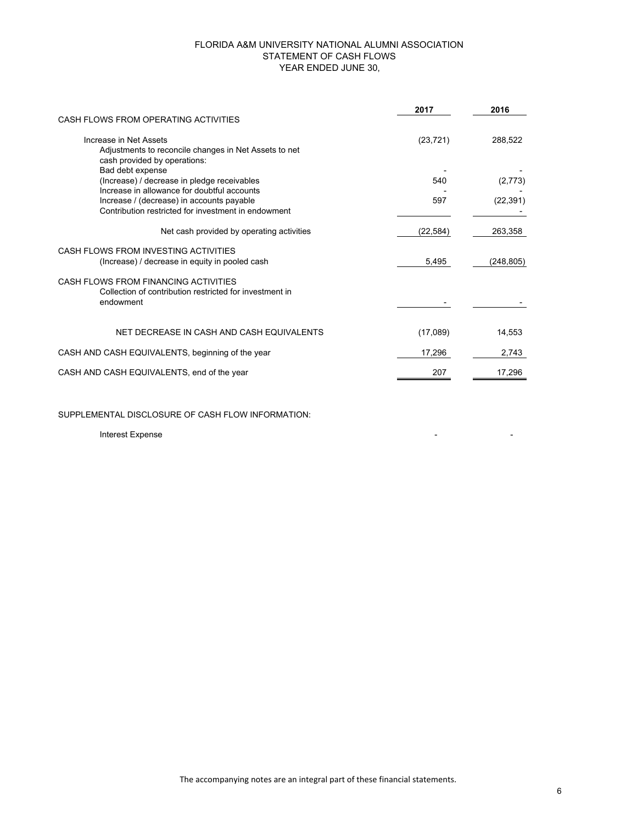#### FLORIDA A&M UNIVERSITY NATIONAL ALUMNI ASSOCIATION STATEMENT OF CASH FLOWS YEAR ENDED JUNE 30,

|                                                                                                                 | 2017      | 2016       |
|-----------------------------------------------------------------------------------------------------------------|-----------|------------|
| CASH FLOWS FROM OPERATING ACTIVITIES                                                                            |           |            |
| Increase in Net Assets<br>Adjustments to reconcile changes in Net Assets to net<br>cash provided by operations: | (23, 721) | 288,522    |
| Bad debt expense<br>(Increase) / decrease in pledge receivables<br>Increase in allowance for doubtful accounts  | 540       | (2,773)    |
| Increase / (decrease) in accounts payable<br>Contribution restricted for investment in endowment                | 597       | (22, 391)  |
| Net cash provided by operating activities                                                                       | (22, 584) | 263,358    |
| CASH FLOWS FROM INVESTING ACTIVITIES<br>(Increase) / decrease in equity in pooled cash                          | 5,495     | (248, 805) |
| CASH FLOWS FROM FINANCING ACTIVITIES<br>Collection of contribution restricted for investment in<br>endowment    |           |            |
| NET DECREASE IN CASH AND CASH EQUIVALENTS                                                                       | (17,089)  | 14,553     |
| CASH AND CASH EQUIVALENTS, beginning of the year                                                                | 17,296    | 2,743      |
| CASH AND CASH EQUIVALENTS, end of the year                                                                      | 207       | 17,296     |

SUPPLEMENTAL DISCLOSURE OF CASH FLOW INFORMATION:

Interest Expense - -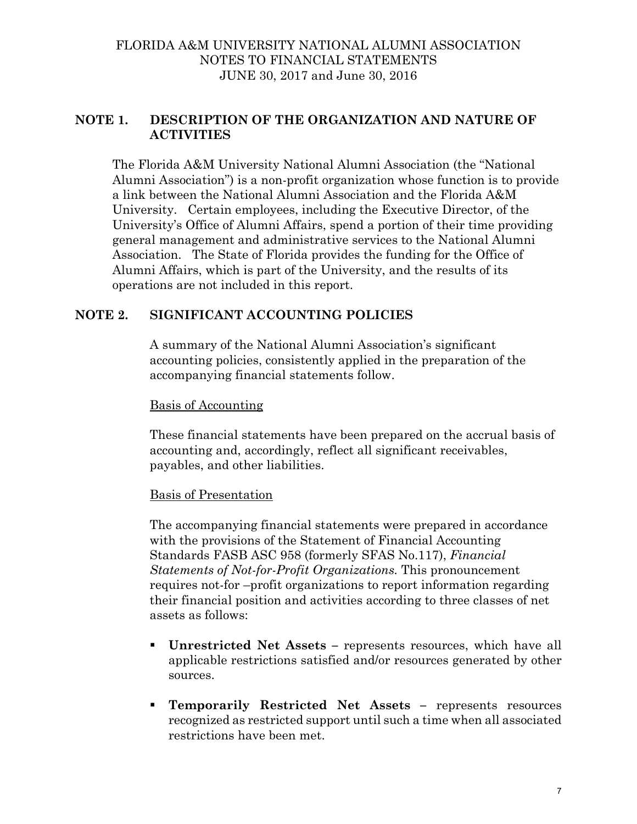## **NOTE 1. DESCRIPTION OF THE ORGANIZATION AND NATURE OF ACTIVITIES**

The Florida A&M University National Alumni Association (the "National Alumni Association") is a non-profit organization whose function is to provide a link between the National Alumni Association and the Florida A&M University. Certain employees, including the Executive Director, of the University's Office of Alumni Affairs, spend a portion of their time providing general management and administrative services to the National Alumni Association. The State of Florida provides the funding for the Office of Alumni Affairs, which is part of the University, and the results of its operations are not included in this report.

### **NOTE 2. SIGNIFICANT ACCOUNTING POLICIES**

A summary of the National Alumni Association's significant accounting policies, consistently applied in the preparation of the accompanying financial statements follow.

#### Basis of Accounting

These financial statements have been prepared on the accrual basis of accounting and, accordingly, reflect all significant receivables, payables, and other liabilities.

#### Basis of Presentation

The accompanying financial statements were prepared in accordance with the provisions of the Statement of Financial Accounting Standards FASB ASC 958 (formerly SFAS No.117), *Financial Statements of Not-for-Profit Organizations.* This pronouncement requires not-for –profit organizations to report information regarding their financial position and activities according to three classes of net assets as follows:

- **Unrestricted Net Assets** represents resources, which have all applicable restrictions satisfied and/or resources generated by other sources.
- **Temporarily Restricted Net Assets** represents resources recognized as restricted support until such a time when all associated restrictions have been met.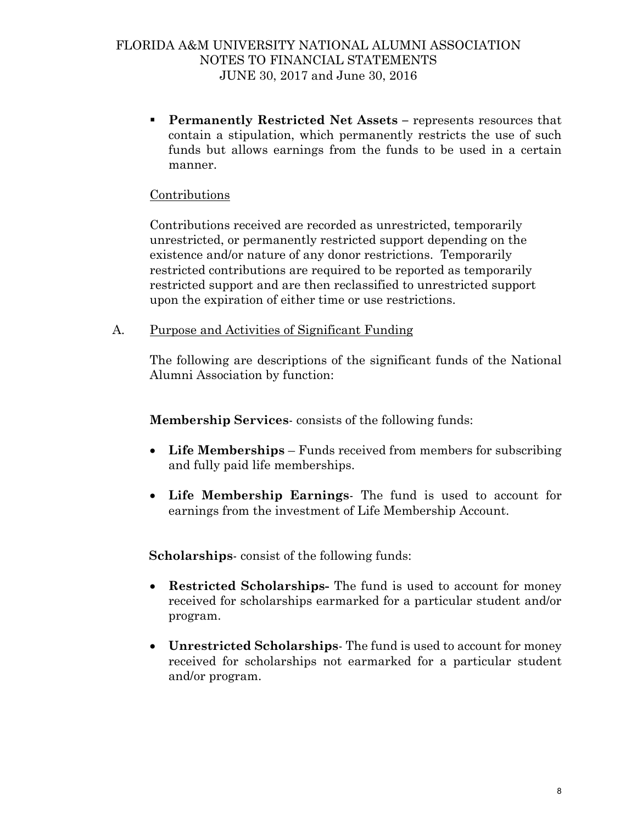**Permanently Restricted Net Assets –** represents resources that contain a stipulation, which permanently restricts the use of such funds but allows earnings from the funds to be used in a certain manner.

#### Contributions

 Contributions received are recorded as unrestricted, temporarily unrestricted, or permanently restricted support depending on the existence and/or nature of any donor restrictions. Temporarily restricted contributions are required to be reported as temporarily restricted support and are then reclassified to unrestricted support upon the expiration of either time or use restrictions.

A. Purpose and Activities of Significant Funding

The following are descriptions of the significant funds of the National Alumni Association by function:

**Membership Services**- consists of the following funds:

- **Life Memberships** Funds received from members for subscribing and fully paid life memberships.
- **Life Membership Earnings** The fund is used to account for earnings from the investment of Life Membership Account.

**Scholarships**- consist of the following funds:

- **Restricted Scholarships-** The fund is used to account for money received for scholarships earmarked for a particular student and/or program.
- **Unrestricted Scholarships** The fund is used to account for money received for scholarships not earmarked for a particular student and/or program.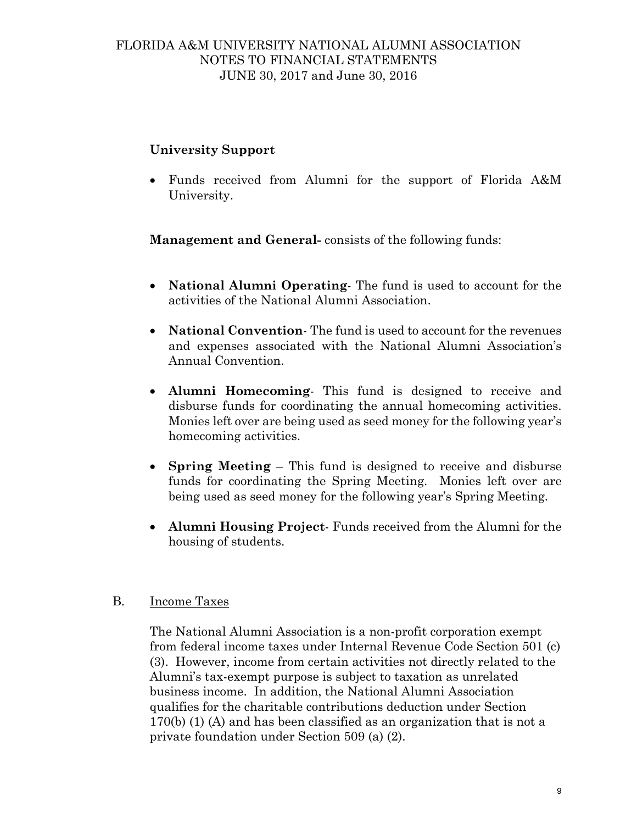## **University Support**

 Funds received from Alumni for the support of Florida A&M University.

 **Management and General-** consists of the following funds:

- **National Alumni Operating** The fund is used to account for the activities of the National Alumni Association.
- **National Convention** The fund is used to account for the revenues and expenses associated with the National Alumni Association's Annual Convention.
- **Alumni Homecoming** This fund is designed to receive and disburse funds for coordinating the annual homecoming activities. Monies left over are being used as seed money for the following year's homecoming activities.
- **Spring Meeting** This fund is designed to receive and disburse funds for coordinating the Spring Meeting. Monies left over are being used as seed money for the following year's Spring Meeting.
- **Alumni Housing Project** Funds received from the Alumni for the housing of students.

### B. Income Taxes

The National Alumni Association is a non-profit corporation exempt from federal income taxes under Internal Revenue Code Section 501 (c) (3). However, income from certain activities not directly related to the Alumni's tax-exempt purpose is subject to taxation as unrelated business income. In addition, the National Alumni Association qualifies for the charitable contributions deduction under Section 170(b) (1) (A) and has been classified as an organization that is not a private foundation under Section 509 (a) (2).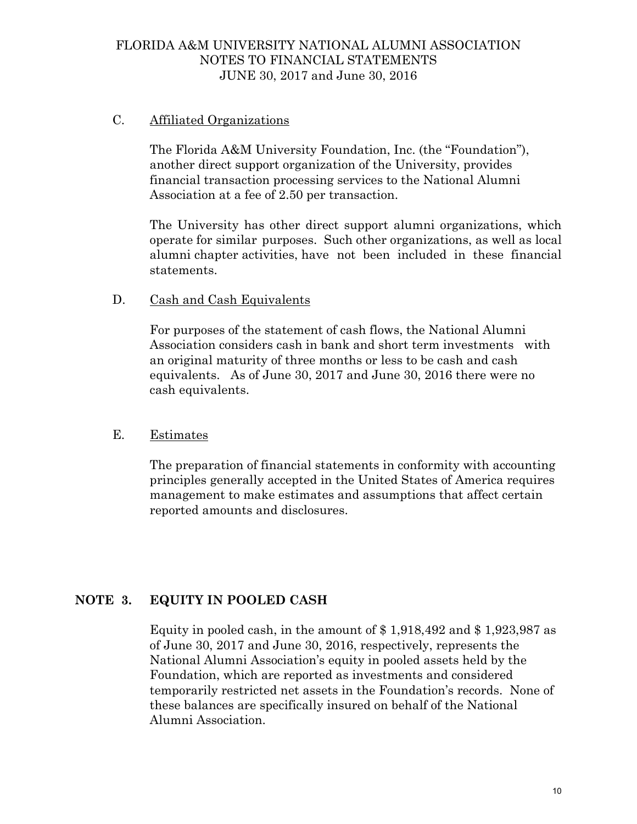#### C. Affiliated Organizations

The Florida A&M University Foundation, Inc. (the "Foundation"), another direct support organization of the University, provides financial transaction processing services to the National Alumni Association at a fee of 2.50 per transaction.

The University has other direct support alumni organizations, which operate for similar purposes. Such other organizations, as well as local alumni chapter activities, have not been included in these financial statements.

#### D. Cash and Cash Equivalents

 For purposes of the statement of cash flows, the National Alumni Association considers cash in bank and short term investments with an original maturity of three months or less to be cash and cash equivalents. As of June 30, 2017 and June 30, 2016 there were no cash equivalents.

#### E. Estimates

 The preparation of financial statements in conformity with accounting principles generally accepted in the United States of America requires management to make estimates and assumptions that affect certain reported amounts and disclosures.

### **NOTE 3. EQUITY IN POOLED CASH**

Equity in pooled cash, in the amount of  $$1,918,492$  and  $$1,923,987$  as of June 30, 2017 and June 30, 2016, respectively, represents the National Alumni Association's equity in pooled assets held by the Foundation, which are reported as investments and considered temporarily restricted net assets in the Foundation's records. None of these balances are specifically insured on behalf of the National Alumni Association.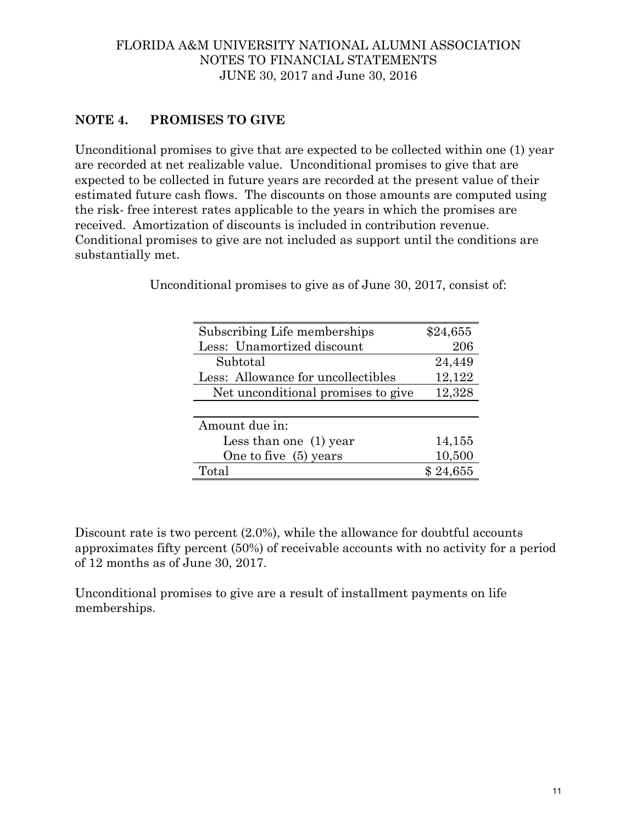## **NOTE 4. PROMISES TO GIVE**

Unconditional promises to give that are expected to be collected within one (1) year are recorded at net realizable value. Unconditional promises to give that are expected to be collected in future years are recorded at the present value of their estimated future cash flows. The discounts on those amounts are computed using the risk- free interest rates applicable to the years in which the promises are received. Amortization of discounts is included in contribution revenue. Conditional promises to give are not included as support until the conditions are substantially met.

| Subscribing Life memberships       | \$24,655 |
|------------------------------------|----------|
| Less: Unamortized discount         | 206      |
| Subtotal                           | 24,449   |
| Less: Allowance for uncollectibles | 12,122   |
| Net unconditional promises to give | 12,328   |
|                                    |          |
| Amount due in:                     |          |
| Less than one $(1)$ year           | 14,155   |
| One to five (5) years              | 10,500   |
| Total                              | \$24,655 |

Unconditional promises to give as of June 30, 2017, consist of:

Discount rate is two percent  $(2.0\%)$ , while the allowance for doubtful accounts approximates fifty percent (50%) of receivable accounts with no activity for a period of 12 months as of June 30, 2017.

Unconditional promises to give are a result of installment payments on life memberships.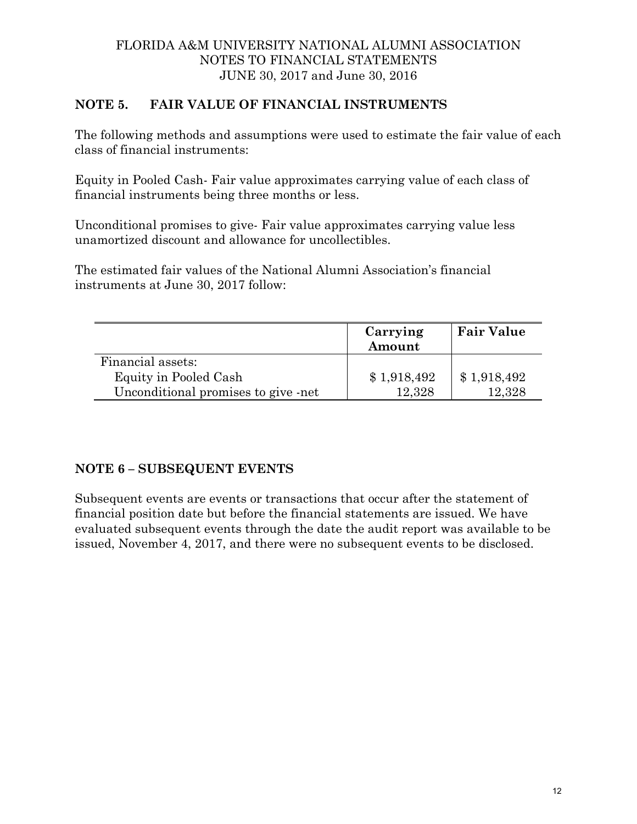## **NOTE 5. FAIR VALUE OF FINANCIAL INSTRUMENTS**

The following methods and assumptions were used to estimate the fair value of each class of financial instruments:

Equity in Pooled Cash- Fair value approximates carrying value of each class of financial instruments being three months or less.

Unconditional promises to give- Fair value approximates carrying value less unamortized discount and allowance for uncollectibles.

The estimated fair values of the National Alumni Association's financial instruments at June 30, 2017 follow:

|                                     | Carrying<br>Amount | <b>Fair Value</b> |
|-------------------------------------|--------------------|-------------------|
| Financial assets:                   |                    |                   |
| Equity in Pooled Cash               | \$1,918,492        | \$1,918,492       |
| Unconditional promises to give -net | 12.328             | 12,328            |

## **NOTE 6 – SUBSEQUENT EVENTS**

Subsequent events are events or transactions that occur after the statement of financial position date but before the financial statements are issued. We have evaluated subsequent events through the date the audit report was available to be issued, November 4, 2017, and there were no subsequent events to be disclosed.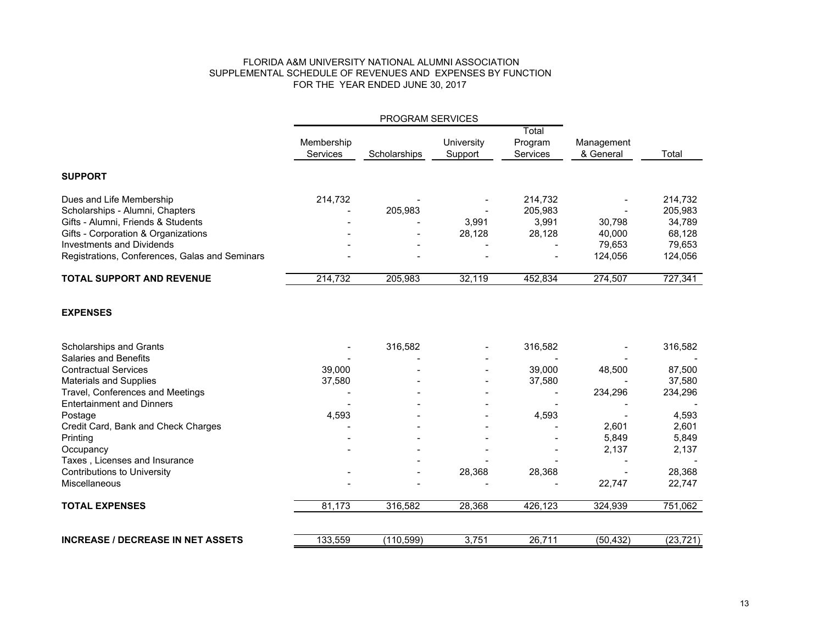#### FLORIDA A&M UNIVERSITY NATIONAL ALUMNI ASSOCIATION SUPPLEMENTAL SCHEDULE OF REVENUES AND EXPENSES BY FUNCTIONFOR THE YEAR ENDED JUNE 30, 2017

| PROGRAM SERVICES                               |                        |              |                       |                              |                         |           |
|------------------------------------------------|------------------------|--------------|-----------------------|------------------------------|-------------------------|-----------|
|                                                | Membership<br>Services | Scholarships | University<br>Support | Total<br>Program<br>Services | Management<br>& General | Total     |
| <b>SUPPORT</b>                                 |                        |              |                       |                              |                         |           |
| Dues and Life Membership                       | 214,732                |              |                       | 214,732                      |                         | 214,732   |
| Scholarships - Alumni, Chapters                |                        | 205,983      |                       | 205,983                      |                         | 205,983   |
| Gifts - Alumni, Friends & Students             |                        |              | 3,991                 | 3,991                        | 30,798                  | 34,789    |
| Gifts - Corporation & Organizations            |                        |              | 28,128                | 28,128                       | 40,000                  | 68,128    |
| <b>Investments and Dividends</b>               |                        |              |                       |                              | 79,653                  | 79,653    |
| Registrations, Conferences, Galas and Seminars |                        |              |                       |                              | 124,056                 | 124,056   |
| <b>TOTAL SUPPORT AND REVENUE</b>               | 214,732                | 205,983      | 32,119                | 452,834                      | 274,507                 | 727,341   |
| <b>EXPENSES</b>                                |                        |              |                       |                              |                         |           |
| Scholarships and Grants                        |                        | 316,582      |                       | 316,582                      |                         | 316,582   |
| <b>Salaries and Benefits</b>                   |                        |              |                       |                              |                         |           |
| <b>Contractual Services</b>                    | 39,000                 |              |                       | 39,000                       | 48,500                  | 87,500    |
| <b>Materials and Supplies</b>                  | 37,580                 |              |                       | 37,580                       |                         | 37,580    |
| Travel, Conferences and Meetings               |                        |              |                       |                              | 234,296                 | 234,296   |
| <b>Entertainment and Dinners</b>               |                        |              |                       |                              |                         |           |
| Postage                                        | 4,593                  |              |                       | 4,593                        |                         | 4,593     |
| Credit Card, Bank and Check Charges            |                        |              |                       |                              | 2,601                   | 2,601     |
| Printing                                       |                        |              |                       |                              | 5,849                   | 5,849     |
| Occupancy                                      |                        |              |                       |                              | 2,137                   | 2,137     |
| Taxes, Licenses and Insurance                  |                        |              |                       |                              |                         |           |
| <b>Contributions to University</b>             |                        |              | 28,368                | 28,368                       |                         | 28,368    |
| Miscellaneous                                  |                        |              |                       |                              | 22,747                  | 22,747    |
| <b>TOTAL EXPENSES</b>                          | 81,173                 | 316,582      | 28,368                | 426,123                      | 324,939                 | 751,062   |
| <b>INCREASE / DECREASE IN NET ASSETS</b>       | 133,559                | (110, 599)   | 3,751                 | 26,711                       | (50, 432)               | (23, 721) |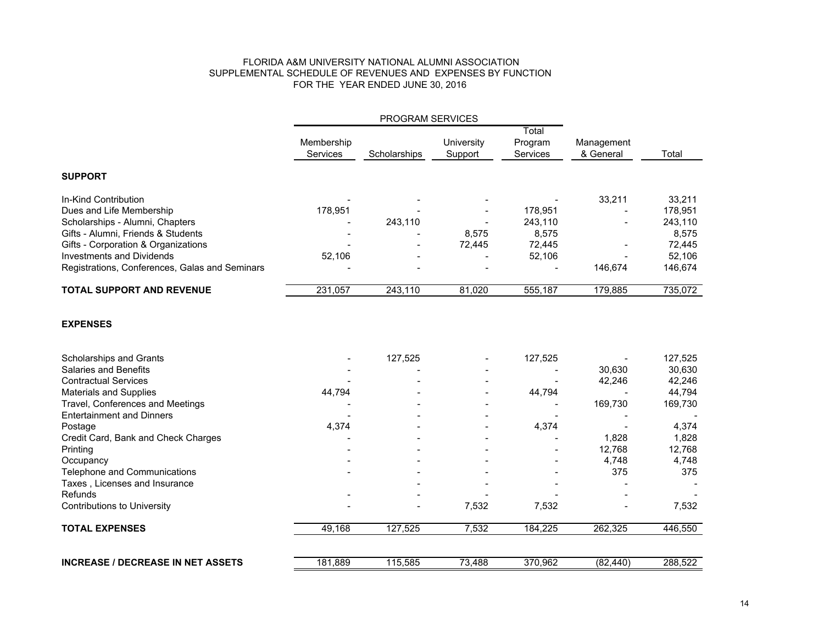#### FLORIDA A&M UNIVERSITY NATIONAL ALUMNI ASSOCIATION SUPPLEMENTAL SCHEDULE OF REVENUES AND EXPENSES BY FUNCTIONFOR THE YEAR ENDED JUNE 30, 2016

|                                                | <b>PROGRAM SERVICES</b>       |              |                          |                                     |                         |         |
|------------------------------------------------|-------------------------------|--------------|--------------------------|-------------------------------------|-------------------------|---------|
|                                                | Membership<br><b>Services</b> | Scholarships | Universitv<br>Support    | Total<br>Program<br><b>Services</b> | Management<br>& General | Total   |
| <b>SUPPORT</b>                                 |                               |              |                          |                                     |                         |         |
| In-Kind Contribution                           |                               |              |                          |                                     | 33.211                  | 33,211  |
| Dues and Life Membership                       | 178.951                       |              | $\blacksquare$           | 178.951                             |                         | 178,951 |
| Scholarships - Alumni, Chapters                | $\overline{\phantom{a}}$      | 243.110      | $\overline{\phantom{a}}$ | 243.110                             |                         | 243,110 |
| Gifts - Alumni, Friends & Students             | $\overline{\phantom{0}}$      |              | 8.575                    | 8.575                               |                         | 8.575   |
| Gifts - Corporation & Organizations            |                               |              | 72.445                   | 72.445                              |                         | 72,445  |
| <b>Investments and Dividends</b>               | 52,106                        |              |                          | 52,106                              |                         | 52,106  |
| Registrations, Conferences, Galas and Seminars |                               |              |                          |                                     | 146.674                 | 146,674 |
| <b>TOTAL SUPPORT AND REVENUE</b>               | 231,057                       | 243,110      | 81,020                   | 555,187                             | 179,885                 | 735,072 |

#### **EXPENSES**

| Scholarships and Grants                  |         | 127,525 |        | 127,525 |           | 127,525 |
|------------------------------------------|---------|---------|--------|---------|-----------|---------|
| <b>Salaries and Benefits</b>             |         |         |        |         | 30,630    | 30,630  |
| <b>Contractual Services</b>              |         |         |        |         | 42,246    | 42,246  |
| Materials and Supplies                   | 44,794  |         |        | 44,794  |           | 44,794  |
| Travel, Conferences and Meetings         |         |         |        |         | 169,730   | 169,730 |
| <b>Entertainment and Dinners</b>         |         |         |        |         |           |         |
| Postage                                  | 4,374   |         |        | 4,374   |           | 4,374   |
| Credit Card, Bank and Check Charges      |         |         |        |         | 1,828     | 1,828   |
| Printing                                 |         |         |        |         | 12,768    | 12,768  |
| Occupancy                                |         |         |        |         | 4,748     | 4,748   |
| <b>Telephone and Communications</b>      |         |         |        |         | 375       | 375     |
| Taxes, Licenses and Insurance            |         |         |        |         |           |         |
| <b>Refunds</b>                           |         |         |        |         |           |         |
| Contributions to University              |         |         | 7,532  | 7,532   |           | 7,532   |
| <b>TOTAL EXPENSES</b>                    | 49,168  | 127,525 | 7,532  | 184,225 | 262,325   | 446,550 |
|                                          |         |         |        |         |           |         |
| <b>INCREASE / DECREASE IN NET ASSETS</b> | 181,889 | 115,585 | 73,488 | 370,962 | (82, 440) | 288,522 |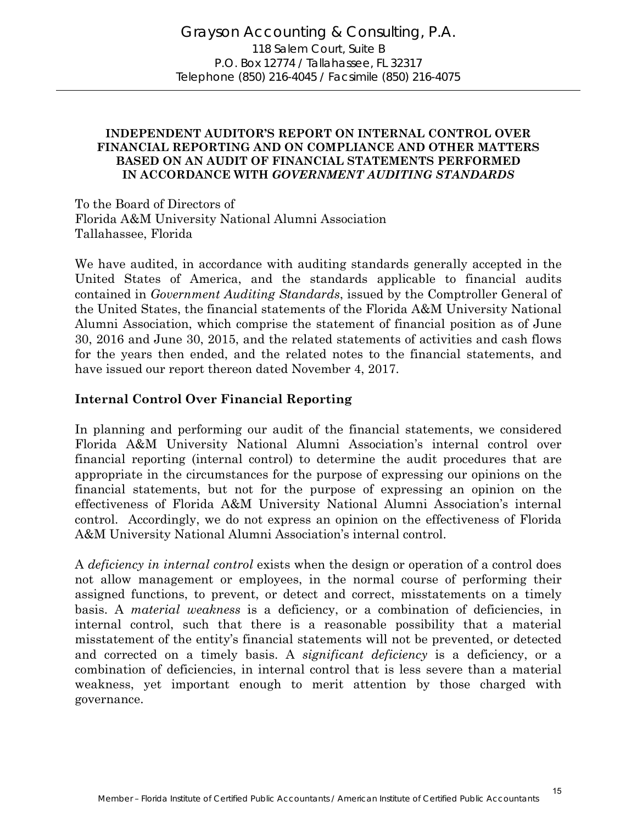#### **INDEPENDENT AUDITOR'S REPORT ON INTERNAL CONTROL OVER FINANCIAL REPORTING AND ON COMPLIANCE AND OTHER MATTERS BASED ON AN AUDIT OF FINANCIAL STATEMENTS PERFORMED IN ACCORDANCE WITH** *GOVERNMENT AUDITING STANDARDS*

To the Board of Directors of Florida A&M University National Alumni Association Tallahassee, Florida

We have audited, in accordance with auditing standards generally accepted in the United States of America, and the standards applicable to financial audits contained in *Government Auditing Standards*, issued by the Comptroller General of the United States, the financial statements of the Florida A&M University National Alumni Association, which comprise the statement of financial position as of June 30, 2016 and June 30, 2015, and the related statements of activities and cash flows for the years then ended, and the related notes to the financial statements, and have issued our report thereon dated November 4, 2017.

#### **Internal Control Over Financial Reporting**

In planning and performing our audit of the financial statements, we considered Florida A&M University National Alumni Association's internal control over financial reporting (internal control) to determine the audit procedures that are appropriate in the circumstances for the purpose of expressing our opinions on the financial statements, but not for the purpose of expressing an opinion on the effectiveness of Florida A&M University National Alumni Association's internal control. Accordingly, we do not express an opinion on the effectiveness of Florida A&M University National Alumni Association's internal control.

A *deficiency in internal control* exists when the design or operation of a control does not allow management or employees, in the normal course of performing their assigned functions, to prevent, or detect and correct, misstatements on a timely basis. A *material weakness* is a deficiency, or a combination of deficiencies, in internal control, such that there is a reasonable possibility that a material misstatement of the entity's financial statements will not be prevented, or detected and corrected on a timely basis. A *significant deficiency* is a deficiency, or a combination of deficiencies, in internal control that is less severe than a material weakness, yet important enough to merit attention by those charged with governance.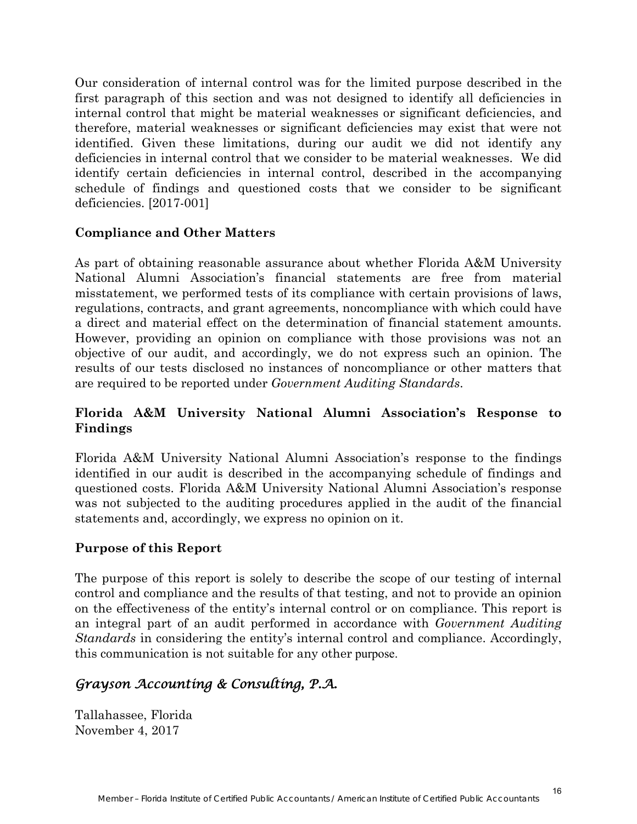Our consideration of internal control was for the limited purpose described in the first paragraph of this section and was not designed to identify all deficiencies in internal control that might be material weaknesses or significant deficiencies, and therefore, material weaknesses or significant deficiencies may exist that were not identified. Given these limitations, during our audit we did not identify any deficiencies in internal control that we consider to be material weaknesses. We did identify certain deficiencies in internal control, described in the accompanying schedule of findings and questioned costs that we consider to be significant deficiencies. [2017-001]

#### **Compliance and Other Matters**

As part of obtaining reasonable assurance about whether Florida A&M University National Alumni Association's financial statements are free from material misstatement, we performed tests of its compliance with certain provisions of laws, regulations, contracts, and grant agreements, noncompliance with which could have a direct and material effect on the determination of financial statement amounts. However, providing an opinion on compliance with those provisions was not an objective of our audit, and accordingly, we do not express such an opinion. The results of our tests disclosed no instances of noncompliance or other matters that are required to be reported under *Government Auditing Standards*.

### **Florida A&M University National Alumni Association's Response to Findings**

Florida A&M University National Alumni Association's response to the findings identified in our audit is described in the accompanying schedule of findings and questioned costs. Florida A&M University National Alumni Association's response was not subjected to the auditing procedures applied in the audit of the financial statements and, accordingly, we express no opinion on it.

#### **Purpose of this Report**

The purpose of this report is solely to describe the scope of our testing of internal control and compliance and the results of that testing, and not to provide an opinion on the effectiveness of the entity's internal control or on compliance. This report is an integral part of an audit performed in accordance with *Government Auditing Standards* in considering the entity's internal control and compliance. Accordingly, this communication is not suitable for any other purpose.

## *Grayson Accounting & Consulting, P.A.*

Tallahassee, Florida November 4, 2017